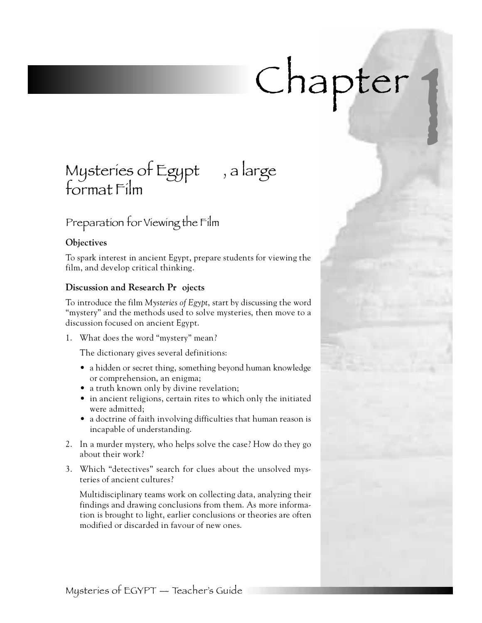# *Chapter 1*

## *Mysteries of Egypt , a large format Film*

## *Preparation for Viewing the Film*

### **Objectives**

To spark interest in ancient Egypt, prepare students for viewing the film, and develop critical thinking.

### **Discussion and Research Pr** ojects

To introduce the film *Mysteries of Egypt*, start by discussing the word "mystery" and the methods used to solve mysteries, then move to a discussion focused on ancient Egypt.

1. What does the word "mystery" mean?

The dictionary gives several definitions:

- a hidden or secret thing, something beyond human knowledge or comprehension, an enigma;
- $\bullet$  a truth known only by divine revelation;
- in ancient religions, certain rites to which only the initiated were admitted;
- a doctrine of faith involving difficulties that human reason is incapable of understanding.
- 2 . In a murder mystery, who helps solve the case? How do they go about their work?
- 3 . Which "detectives" search for clues about the unsolved mysteries of ancient cultures?

Multidisciplinary teams work on collecting data, analyzing their findings and drawing conclusions from them. As more information is brought to light, earlier conclusions or theories are often m odified or discarded in favour of new ones.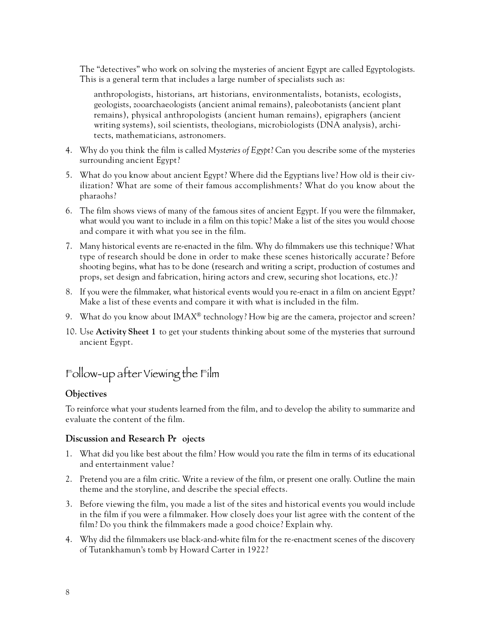The "detectives" who work on solving the mysteries of ancient Egypt are called Egyptologists. This is a general term that includes a large number of specialists such as:

anthropologists, historians, art historians, environmentalists, botanists, ecologists, geologists, zooarchaeologists (ancient animal remains), paleobotanists (ancient plant remains), physical anthropologists (ancient human remains), epigraphers (ancient writing systems), soil scientists, theologians, microbiologists (DNA analysis), architects, mathematicians, astronomers.

- 4 . Why do you think the film is called *Mysteries of Egypt*? Can you describe some of the mysteries surrounding ancient Egypt?
- 5 . What do you know about ancient Egypt? Where did the Egyptians live? How old is their civilization? What are some of their famous accomplishments? What do you know about the pharaohs?
- 6 . The film shows views of many of the famous sites of ancient Egypt. If you were the filmmaker, what would you want to include in a film on this topic? Make a list of the sites you would choose and compare it with what you see in the film.
- 7 . Many historical events are re-enacted in the film. Why do filmmakers use this technique? What type of research should be done in order to make these scenes historically accurate? Before shooting begins, what has to be done (research and writing a script, production of costumes and props, set design and fabrication, hiring actors and crew, securing shot locations, etc.)?
- 8 . If you were the filmmaker, what historical events would you re-enact in a film on ancient Egypt? Make a list of these events and compare it with what is included in the film.
- 9. What do you know about IMAX<sup>®</sup> technology? How big are the camera, projector and screen?
- 10. Use **Activity Sheet 1** to get your students thinking about some of the mysteries that surround ancient Egypt.

## *Follow-up after Viewing the Film*

#### **Objectives**

To reinforce what your students learned from the film, and to develop the ability to summarize and evaluate the content of the film.

#### **Discussion and Research Pr** ojects

- 1 . What did you like best about the film? How would you rate the film in terms of its educational and entertainment value?
- 2. Pretend you are a film critic. Write a review of the film, or present one orally. Outline the main theme and the storyline, and describe the special effects.
- 3. Before viewing the film, you made a list of the sites and historical events you would include in the film if you were a filmmaker. How closely does your list agree with the content of the film? Do you think the filmmakers made a good choice? Explain why.
- 4 . Why did the filmmakers use black-and-white film for the re-enactment scenes of the discovery of Tutankhamun's tomb by Howard Carter in 1922?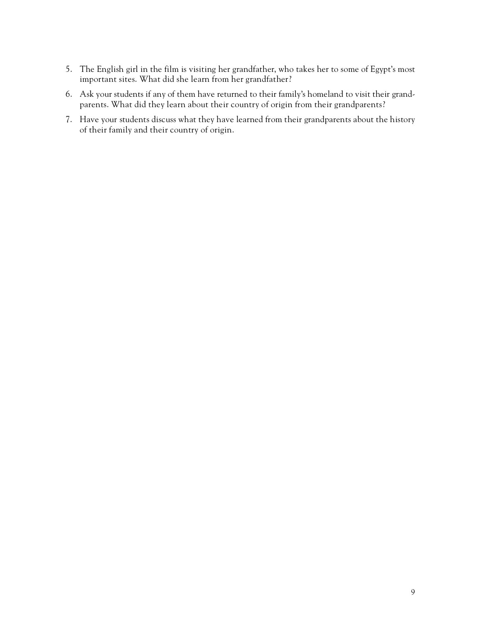- 5 . The English girl in the film is visiting her grandfather, who takes her to some of Egypt's most important sites. What did she learn from her grandfather?
- 6. Ask your students if any of them have returned to their family's homeland to visit their grandparents. What did they learn about their country of origin from their grandparents?
- 7 . Have your students discuss what they have learned from their grandparents about the history of their family and their country of origin.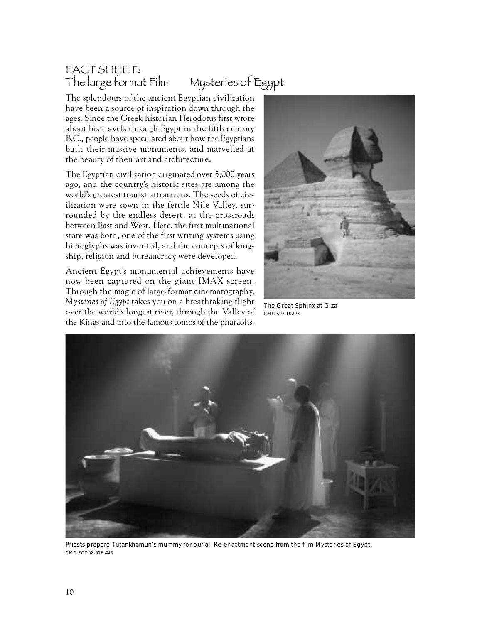## *FACT SHEET: The large format Film Mysteries of Egypt*

The splendours of the ancient Egyptian civilization have been a source of inspiration down through the ages. Since the Greek historian Herodotus first wrote about his travels through Egypt in the fifth century B.C., people have speculated about how the Egyptians built their massive monuments, and marvelled at the beauty of their art and architecture.

The Egyptian civilization originated over 5,000 years ago, and the country's historic sites are among the world's greatest tourist attractions. The seeds of civilization were sown in the fertile Nile Valley, surrounded by the endless desert, at the crossroads between East and West. Here, the first multinational state was born, one of the first writing systems using hieroglyphs was invented, and the concepts of kingship, religion and bureaucracy were developed.

Ancient Egypt's monumental achievements have now been captured on the giant IMAX screen. Through the magic of large-format cinematography, *Mysteries of Egypt* takes you on a breathtaking flight over the world's longest river, through the Valley of the Kings and into the famous tombs of the pharaohs.



The Great Sphinx at Giza CMC S97 10293



Priests prepare Tutankhamun's mummy for burial. Re-enactment scene from the film Mysteries of Egypt. CMC ECD98-016 #45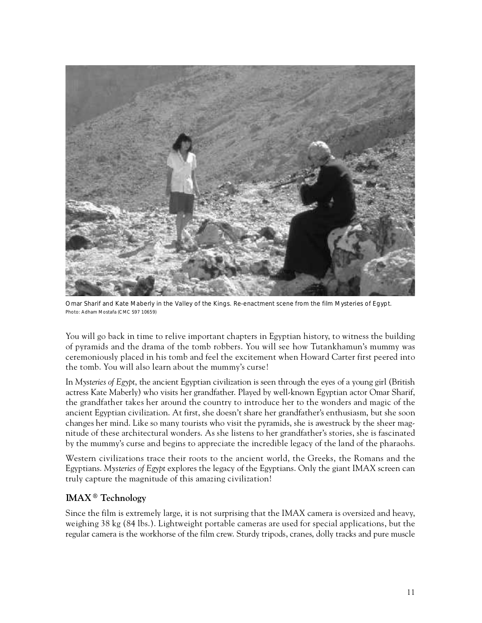

Omar Sharif and Kate Maberly in the Valley of the Kings. Re-enactment scene from the film Mysteries of Egypt. Photo: Adham Mostafa (CMC S97 10659)

You will go back in time to relive important chapters in Egyptian history, to witness the building of pyramids and the drama of the tomb robbers. You will see how Tutankhamun's mummy was ceremoniously placed in his tomb and feel the excitement when Howard Carter first peered into the tomb. You will also learn about the mummy's curse!

In *Mysteries of Egypt*, the ancient Egyptian civilization is seen through the eyes of a young girl (British actress Kate Maberly) who visits her grandfather. Played by well-known Egyptian actor Omar Sharif, the grandfather takes her around the country to introduce her to the wonders and magic of the ancient Egyptian civilization. At first, she doesn't share her grandfather's enthusiasm, but she soon changes her mind. Like so many tourists who visit the pyramids, she is awestruck by the sheer magnitude of these architectural wonders. As she listens to her grandfather's stories, she is fascinated by the mummy's curse and begins to appreciate the incredible legacy of the land of the pharaohs.

Western civilizations trace their roots to the ancient world, the Greeks, the Romans and the Egyptians. *Mysteries of Egypt* explores the legacy of the Egyptians. Only the giant IMAX screen can truly capture the magnitude of this amazing civilization!

#### **IMAX**<sup>®</sup> Technology

Since the film is extremely large, it is not surprising that the IMAX camera is oversized and heavy, weighing 38 kg (84 lbs.). Lightweight portable cameras are used for special applications, but the regular camera is the workhorse of the film crew. Sturdy tripods, cranes, dolly tracks and pure muscle